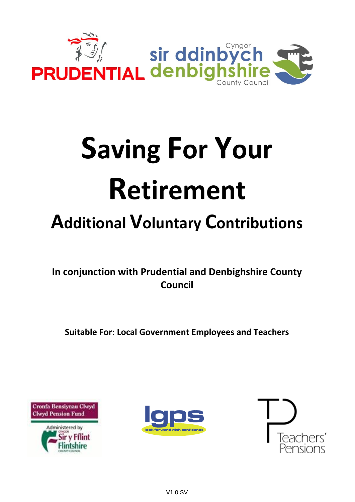

# **Saving For Your** Retirement

# **Additional Voluntary Contributions**

In conjunction with Prudential and Denbighshire County Council

**Suitable For: Local Government Employees and Teachers** 





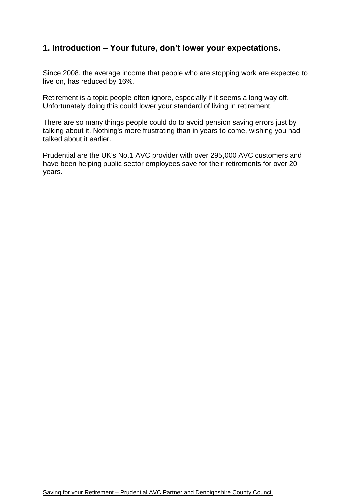# **1. Introduction – Your future, don't lower your expectations.**

Since 2008, the average income that people who are stopping work are expected to live on, has reduced by 16%.

Retirement is a topic people often ignore, especially if it seems a long way off. Unfortunately doing this could lower your standard of living in retirement.

There are so many things people could do to avoid pension saving errors just by talking about it. Nothing's more frustrating than in years to come, wishing you had talked about it earlier.

Prudential are the UK's No.1 AVC provider with over 295,000 AVC customers and have been helping public sector employees save for their retirements for over 20 years.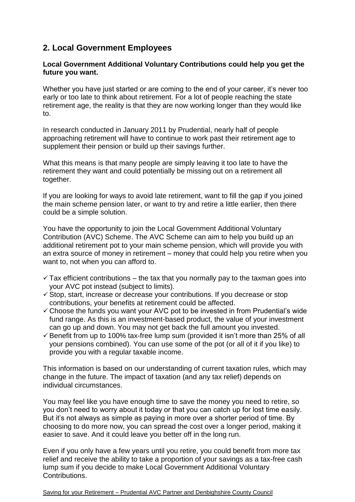## **2. Local Government Employees**

#### **Local Government Additional Voluntary Contributions could help you get the future you want.**

Whether you have just started or are coming to the end of your career, it's never too early or too late to think about retirement. For a lot of people reaching the state retirement age, the reality is that they are now working longer than they would like to.

In research conducted in January 2011 by Prudential, nearly half of people approaching retirement will have to continue to work past their retirement age to supplement their pension or build up their savings further.

What this means is that many people are simply leaving it too late to have the retirement they want and could potentially be missing out on a retirement all together.

If you are looking for ways to avoid late retirement, want to fill the gap if you joined the main scheme pension later, or want to try and retire a little earlier, then there could be a simple solution.

You have the opportunity to join the Local Government Additional Voluntary Contribution (AVC) Scheme. The AVC Scheme can aim to help you build up an additional retirement pot to your main scheme pension, which will provide you with an extra source of money in retirement – money that could help you retire when you want to, not when you can afford to.

- $\checkmark$  Tax efficient contributions the tax that you normally pay to the taxman goes into your AVC pot instead (subject to limits).
- $\checkmark$  Stop, start, increase or decrease your contributions. If you decrease or stop contributions, your benefits at retirement could be affected.
- $\checkmark$  Choose the funds you want your AVC pot to be invested in from Prudential's wide fund range. As this is an investment-based product, the value of your investment can go up and down. You may not get back the full amount you invested.
- $\checkmark$  Benefit from up to 100% tax-free lump sum (provided it isn't more than 25% of all your pensions combined). You can use some of the pot (or all of it if you like) to provide you with a regular taxable income.

This information is based on our understanding of current taxation rules, which may change in the future. The impact of taxation (and any tax relief) depends on individual circumstances.

You may feel like you have enough time to save the money you need to retire, so you don't need to worry about it today or that you can catch up for lost time easily. But it's not always as simple as paying in more over a shorter period of time. By choosing to do more now, you can spread the cost over a longer period, making it easier to save. And it could leave you better off in the long run.

Even if you only have a few years until you retire, you could benefit from more tax relief and receive the ability to take a proportion of your savings as a tax-free cash lump sum if you decide to make Local Government Additional Voluntary Contributions.

Saving for your Retirement – Prudential AVC Partner and Denbighshire County Council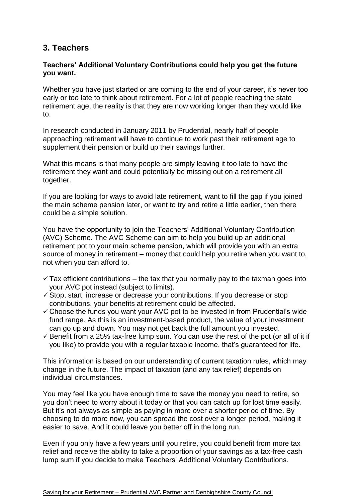### **3. Teachers**

#### **Teachers' Additional Voluntary Contributions could help you get the future you want.**

Whether you have just started or are coming to the end of your career, it's never too early or too late to think about retirement. For a lot of people reaching the state retirement age, the reality is that they are now working longer than they would like to.

In research conducted in January 2011 by Prudential, nearly half of people approaching retirement will have to continue to work past their retirement age to supplement their pension or build up their savings further.

What this means is that many people are simply leaving it too late to have the retirement they want and could potentially be missing out on a retirement all together.

If you are looking for ways to avoid late retirement, want to fill the gap if you joined the main scheme pension later, or want to try and retire a little earlier, then there could be a simple solution.

You have the opportunity to join the Teachers' Additional Voluntary Contribution (AVC) Scheme. The AVC Scheme can aim to help you build up an additional retirement pot to your main scheme pension, which will provide you with an extra source of money in retirement – money that could help you retire when you want to, not when you can afford to.

- $\checkmark$  Tax efficient contributions the tax that you normally pay to the taxman goes into your AVC pot instead (subject to limits).
- $\checkmark$  Stop, start, increase or decrease your contributions. If you decrease or stop contributions, your benefits at retirement could be affected.
- $\checkmark$  Choose the funds you want your AVC pot to be invested in from Prudential's wide fund range. As this is an investment-based product, the value of your investment can go up and down. You may not get back the full amount you invested.
- $\checkmark$  Benefit from a 25% tax-free lump sum. You can use the rest of the pot (or all of it if you like) to provide you with a regular taxable income, that's guaranteed for life.

This information is based on our understanding of current taxation rules, which may change in the future. The impact of taxation (and any tax relief) depends on individual circumstances.

You may feel like you have enough time to save the money you need to retire, so you don't need to worry about it today or that you can catch up for lost time easily. But it's not always as simple as paying in more over a shorter period of time. By choosing to do more now, you can spread the cost over a longer period, making it easier to save. And it could leave you better off in the long run.

Even if you only have a few years until you retire, you could benefit from more tax relief and receive the ability to take a proportion of your savings as a tax-free cash lump sum if you decide to make Teachers' Additional Voluntary Contributions.